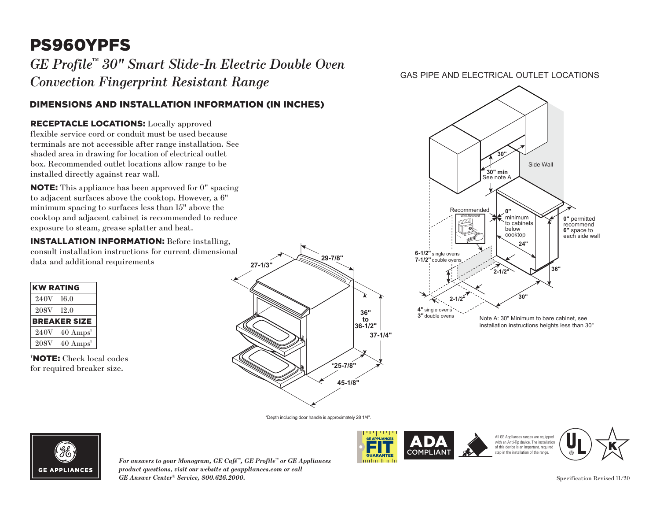# PS960YPFS

 $GE\ Project^{\tiny\rm m}$  30" Smart Slide-In Electric Double Oven *Convection Fingerprint Resistant Range*

## DIMENSIONS AND INSTALLATION INFORMATION (IN INCHES)

#### RECEPTACLE LOCATIONS: Locally approved

flexible service cord or conduit must be used because **30"** terminals are not accessible after range installation. See shaded area in drawing for location of electrical outlet box. Recommended outlet locations allow range to be installed directly against rear wall. **RECEPTACLE LOCATIONS:** Locally approved<br>flexible service cord or conduit must be used because<br>terminals are not accessible after range installation. See<br>shaded area in drawing for location of electrical outlet<br>box. Recomm

to adjacent surfaces above the cooktop. However, a  $6"$ minimum spacing to surfaces less than  $15"$  above the minimum spacing to surfaces less than 15 above the cooktop and adjacent cabinet is recommended to reduce exposure to steam, grease splatter and heat. ove th

**INSTALLATION INFORMATION:** Before installing, consult installation instructions for current dimensional **36" 2-1/2"** data and additional requirements

| <b>KW RATING</b>    |                             |
|---------------------|-----------------------------|
| 240V                | 16.0                        |
| <b>208V</b>         | 12.0                        |
| <b>BREAKER SIZE</b> |                             |
| 240V                | $40 \text{ Amps}^{\dagger}$ |
| <b>208V</b>         | $40 \text{ Amps}^{\dagger}$ |

† NOTE: Check local codes for required breaker size.



### GAS PIPE AND ELECTRICAL OUTLET LOCATIONS



\*Depth including door handle is approximately 28 1/4".



*For answers to your Monogram, GE Café™, GE Profile™ or GE Appliances product questions, visit our website at geappliances.com or call GE Answer Center® Service, 800.626.2000.* Specification Revised 11/20